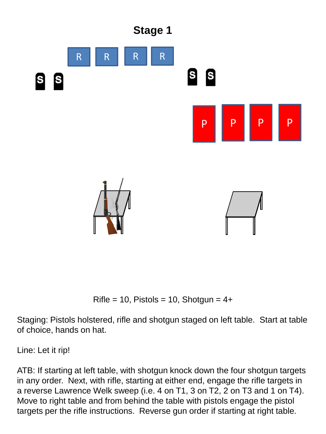

Rifle = 10, Pistols = 10, Shotgun =  $4+$ 

Staging: Pistols holstered, rifle and shotgun staged on left table. Start at table of choice, hands on hat.

Line: Let it rip!

ATB: If starting at left table, with shotgun knock down the four shotgun targets in any order. Next, with rifle, starting at either end, engage the rifle targets in a reverse Lawrence Welk sweep (i.e. 4 on T1, 3 on T2, 2 on T3 and 1 on T4). Move to right table and from behind the table with pistols engage the pistol targets per the rifle instructions. Reverse gun order if starting at right table.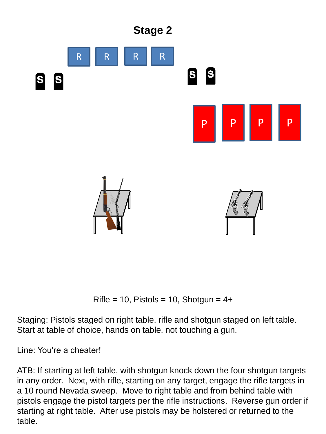

Rifle = 10, Pistols = 10, Shotgun =  $4+$ 

Staging: Pistols staged on right table, rifle and shotgun staged on left table. Start at table of choice, hands on table, not touching a gun.

Line: You're a cheater!

ATB: If starting at left table, with shotgun knock down the four shotgun targets in any order. Next, with rifle, starting on any target, engage the rifle targets in a 10 round Nevada sweep. Move to right table and from behind table with pistols engage the pistol targets per the rifle instructions. Reverse gun order if starting at right table. After use pistols may be holstered or returned to the table.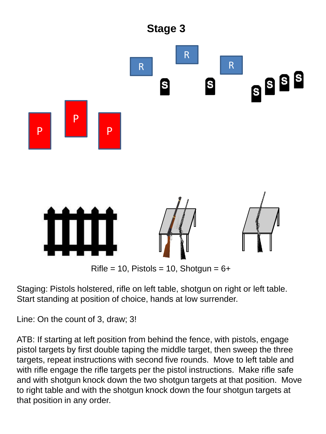

Staging: Pistols holstered, rifle on left table, shotgun on right or left table. Start standing at position of choice, hands at low surrender.

Line: On the count of 3, draw; 3!

ATB: If starting at left position from behind the fence, with pistols, engage pistol targets by first double taping the middle target, then sweep the three targets, repeat instructions with second five rounds. Move to left table and with rifle engage the rifle targets per the pistol instructions. Make rifle safe and with shotgun knock down the two shotgun targets at that position. Move to right table and with the shotgun knock down the four shotgun targets at that position in any order.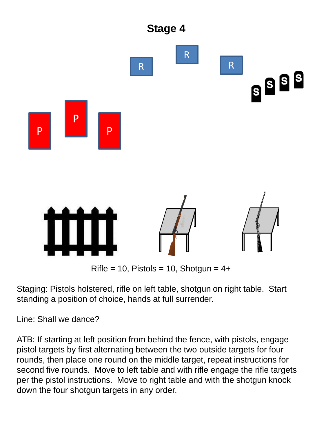

Staging: Pistols holstered, rifle on left table, shotgun on right table. Start standing a position of choice, hands at full surrender.

Line: Shall we dance?

ATB: If starting at left position from behind the fence, with pistols, engage pistol targets by first alternating between the two outside targets for four rounds, then place one round on the middle target, repeat instructions for second five rounds. Move to left table and with rifle engage the rifle targets per the pistol instructions. Move to right table and with the shotgun knock down the four shotgun targets in any order.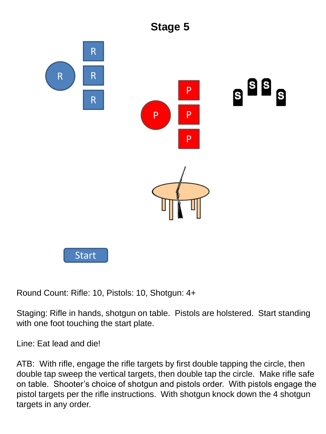

Round Count: Rifle: 10, Pistols: 10, Shotgun: 4+

Staging: Rifle in hands, shotgun on table. Pistols are holstered. Start standing with one foot touching the start plate.

Line: Eat lead and die!

ATB: With rifle, engage the rifle targets by first double tapping the circle, then double tap sweep the vertical targets, then double tap the circle. Make rifle safe on table. Shooter's choice of shotgun and pistols order. With pistols engage the pistol targets per the rifle instructions. With shotgun knock down the 4 shotgun targets in any order.